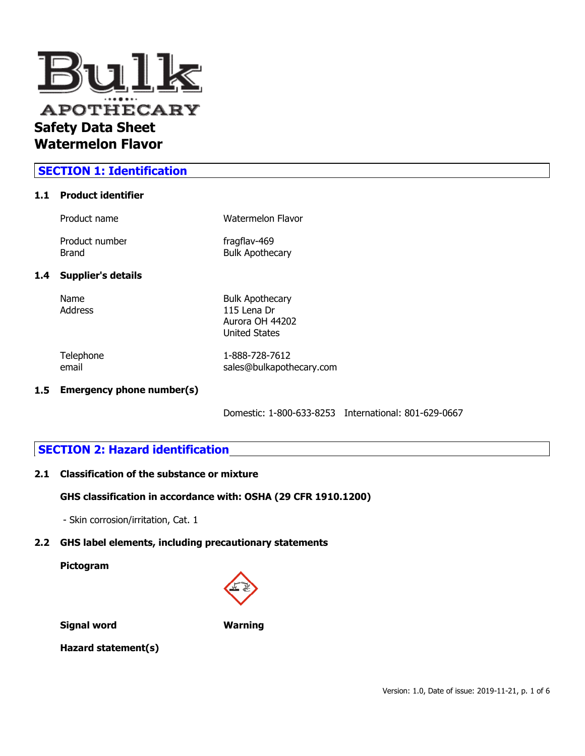

# **SECTION 1: Identification**

### **1.1 Product identifier**

| <b>Bulk Apothecary</b> |
|------------------------|
| Watermelon Flavor      |
|                        |

### **1.4 Supp**

Name Bulk Apothecary Address 115 Lena Dr Aurora OH 44202 United States

Telephone 1-888-728-7612 email sales@bulkapothecary.com

#### **1.5 Emergency phone number(s)**

Domestic: 1-800-633-8253 International: 801-629-0667

### **SECTION 2: Hazard identification**

#### **2.1 Classification of the substance or mixture**

#### **GHS classification in accordance with: OSHA (29 CFR 1910.1200)**

- Skin corrosion/irritation, Cat. 1

### **2.2 GHS label elements, including precautionary statements**

**Pictogram**



**Signal word Warning**

**Hazard statement(s)**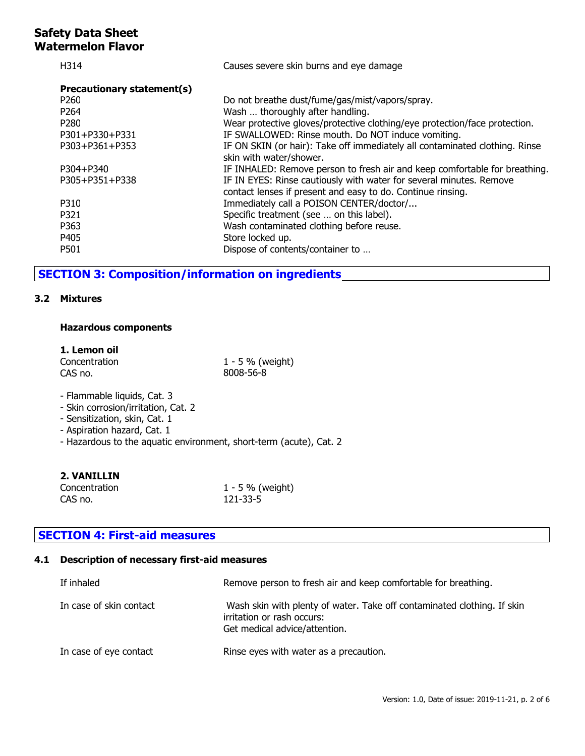| H314                       | Causes severe skin burns and eye damage                                                                                            |
|----------------------------|------------------------------------------------------------------------------------------------------------------------------------|
| Precautionary statement(s) |                                                                                                                                    |
| P <sub>260</sub>           | Do not breathe dust/fume/gas/mist/vapors/spray.                                                                                    |
| P <sub>264</sub>           | Wash  thoroughly after handling.                                                                                                   |
| P <sub>280</sub>           | Wear protective gloves/protective clothing/eye protection/face protection.                                                         |
| P301+P330+P331             | IF SWALLOWED: Rinse mouth. Do NOT induce vomiting.                                                                                 |
| P303+P361+P353             | IF ON SKIN (or hair): Take off immediately all contaminated clothing. Rinse<br>skin with water/shower.                             |
| P304+P340                  | IF INHALED: Remove person to fresh air and keep comfortable for breathing.                                                         |
| P305+P351+P338             | IF IN EYES: Rinse cautiously with water for several minutes. Remove<br>contact lenses if present and easy to do. Continue rinsing. |
| P310                       | Immediately call a POISON CENTER/doctor/                                                                                           |
| P321                       | Specific treatment (see  on this label).                                                                                           |
| P363                       | Wash contaminated clothing before reuse.                                                                                           |
| P405                       | Store locked up.                                                                                                                   |
| P501                       | Dispose of contents/container to                                                                                                   |

# **SECTION 3: Composition/information on ingredients**

### **3.2 Mixtures**

### **Hazardous components**

### **1. Lemon oil**

| Concentration | $1 - 5 \%$ (weight) |
|---------------|---------------------|
| CAS no.       | 8008-56-8           |

- Flammable liquids, Cat. 3
- Skin corrosion/irritation, Cat. 2
- Sensitization, skin, Cat. 1
- Aspiration hazard, Cat. 1
- Hazardous to the aquatic environment, short-term (acute), Cat. 2

### **2. VANILLIN**

| Concentration | 1 - 5 % (weight) |
|---------------|------------------|
| CAS no.       | 121-33-5         |

# **SECTION 4: First-aid measures**

# **4.1 Description of necessary first-aid measures**

| If inhaled              | Remove person to fresh air and keep comfortable for breathing.                                                                         |
|-------------------------|----------------------------------------------------------------------------------------------------------------------------------------|
| In case of skin contact | Wash skin with plenty of water. Take off contaminated clothing. If skin<br>irritation or rash occurs:<br>Get medical advice/attention. |
| In case of eye contact  | Rinse eyes with water as a precaution.                                                                                                 |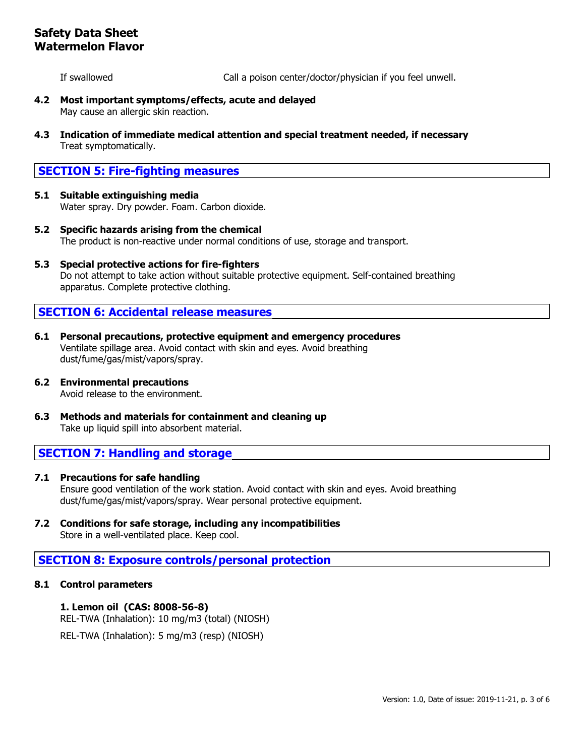If swallowed Call a poison center/doctor/physician if you feel unwell.

- **4.2 Most important symptoms/effects, acute and delayed** May cause an allergic skin reaction.
- **4.3 Indication of immediate medical attention and special treatment needed, if necessary** Treat symptomatically.

# **SECTION 5: Fire-fighting measures**

- **5.1 Suitable extinguishing media** Water spray. Dry powder. Foam. Carbon dioxide.
- **5.2 Specific hazards arising from the chemical** The product is non-reactive under normal conditions of use, storage and transport.
- **5.3 Special protective actions for fire-fighters** Do not attempt to take action without suitable protective equipment. Self-contained breathing apparatus. Complete protective clothing.

## **SECTION 6: Accidental release measures**

- **6.1 Personal precautions, protective equipment and emergency procedures** Ventilate spillage area. Avoid contact with skin and eyes. Avoid breathing dust/fume/gas/mist/vapors/spray.
- **6.2 Environmental precautions** Avoid release to the environment.
- **6.3 Methods and materials for containment and cleaning up** Take up liquid spill into absorbent material.

# **SECTION 7: Handling and storage**

- **7.1 Precautions for safe handling** Ensure good ventilation of the work station. Avoid contact with skin and eyes. Avoid breathing dust/fume/gas/mist/vapors/spray. Wear personal protective equipment.
- **7.2 Conditions for safe storage, including any incompatibilities** Store in a well-ventilated place. Keep cool.

# **SECTION 8: Exposure controls/personal protection**

### **8.1 Control parameters**

**1. Lemon oil (CAS: 8008-56-8)** REL-TWA (Inhalation): 10 mg/m3 (total) (NIOSH) REL-TWA (Inhalation): 5 mg/m3 (resp) (NIOSH)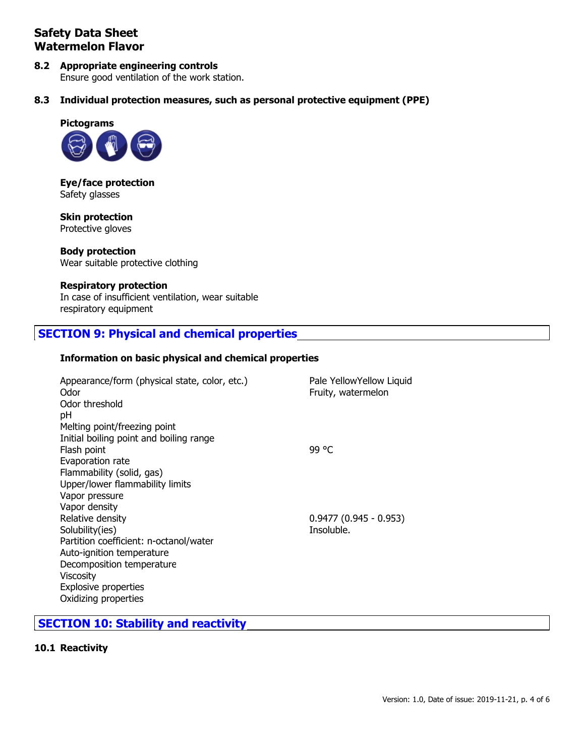# **8.2 Appropriate engineering controls**

Ensure good ventilation of the work station.

**8.3 Individual protection measures, such as personal protective equipment (PPE)**



**Eye/face protection** Safety glasses

**Skin protection** Protective gloves

**Body protection** Wear suitable protective clothing

### **Respiratory protection**

In case of insufficient ventilation, wear suitable respiratory equipment

## **SECTION 9: Physical and chemical properties**

### **Information on basic physical and chemical properties**

| Appearance/form (physical state, color, etc.)<br>Odor | Pale YellowYellow Liquid<br>Fruity, watermelon |
|-------------------------------------------------------|------------------------------------------------|
| Odor threshold                                        |                                                |
| pH                                                    |                                                |
| Melting point/freezing point                          |                                                |
| Initial boiling point and boiling range               |                                                |
| Flash point                                           | 99 °C                                          |
| Evaporation rate                                      |                                                |
| Flammability (solid, gas)                             |                                                |
| Upper/lower flammability limits                       |                                                |
| Vapor pressure                                        |                                                |
| Vapor density                                         |                                                |
| Relative density                                      | $0.9477(0.945 - 0.953)$                        |
| Solubility(ies)                                       | Insoluble.                                     |
| Partition coefficient: n-octanol/water                |                                                |
| Auto-ignition temperature                             |                                                |
| Decomposition temperature                             |                                                |
| <b>Viscosity</b>                                      |                                                |
| Explosive properties                                  |                                                |
| Oxidizing properties                                  |                                                |

## **SECTION 10: Stability and reactivity**

### **10.1 Reactivity**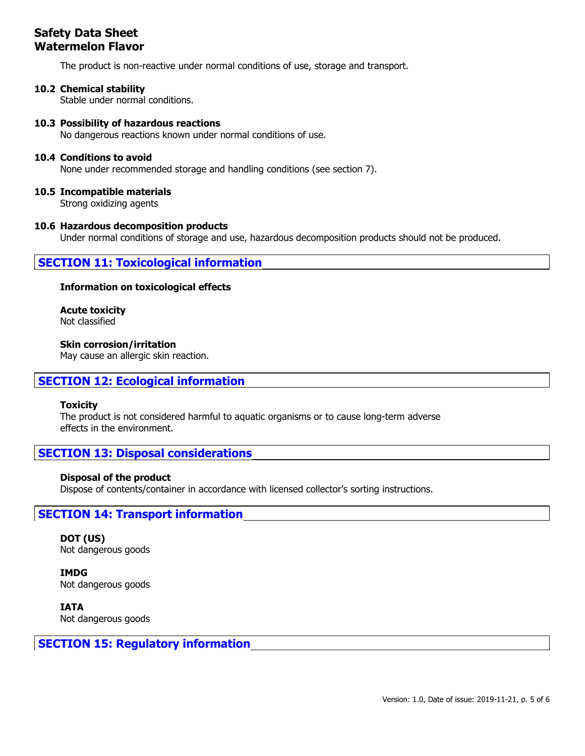The product is non-reactive under normal conditions of use, storage and transport.

### **10.2 Chemical stability**

Stable under normal conditions.

### **10.3 Possibility of hazardous reactions**

No dangerous reactions known under normal conditions of use.

#### **10.4 Conditions to avoid**

None under recommended storage and handling conditions (see section 7).

### **10.5 Incompatible materials**

Strong oxidizing agents

### **10.6 Hazardous decomposition products**

Under normal conditions of storage and use, hazardous decomposition products should not be produced.

### **SECTION 11: Toxicological information**

#### **Information on toxicological effects**

**Acute toxicity** Not classified

### **Skin corrosion/irritation**

May cause an allergic skin reaction.

### **SECTION 12: Ecological information**

#### **Toxicity**

The product is not considered harmful to aquatic organisms or to cause long-term adverse effects in the environment.

## **SECTION 13: Disposal considerations**

#### **Disposal of the product**

Dispose of contents/container in accordance with licensed collector's sorting instructions.

### **SECTION 14: Transport information**

**DOT (US)** Not dangerous goods

**IMDG** Not dangerous goods

**IATA** Not dangerous goods

### **SECTION 15: Regulatory information**